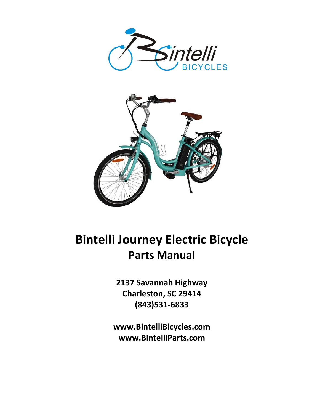



## Bintelli Journey Electric Bicycle Parts Manual

2137 Savannah Highway Charleston, SC 29414 (843)531-6833

www.BintelliBicycles.com www.BintelliParts.com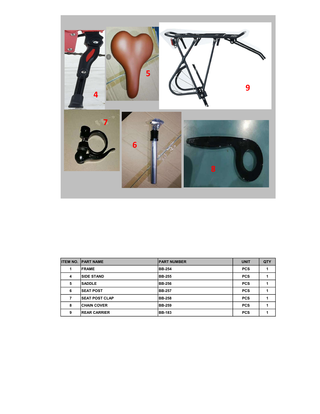

| <b>ITEM NO.</b> | <b>PART NAME</b>       | <b>PART NUMBER</b> | <b>UNIT</b> | QTY |
|-----------------|------------------------|--------------------|-------------|-----|
|                 | <b>FRAME</b>           | <b>BB-254</b>      | <b>PCS</b>  |     |
| 4               | <b>SIDE STAND</b>      | <b>BB-255</b>      | <b>PCS</b>  |     |
| 5               | <b>SADDLE</b>          | <b>BB-256</b>      | <b>PCS</b>  |     |
| 6               | <b>SEAT POST</b>       | <b>BB-257</b>      | <b>PCS</b>  |     |
|                 | <b>ISEAT POST CLAP</b> | <b>BB-258</b>      | <b>PCS</b>  |     |
| 8               | <b>CHAIN COVER</b>     | <b>BB-259</b>      | <b>PCS</b>  |     |
| 9               | <b>IREAR CARRIER</b>   | <b>BB-183</b>      | <b>PCS</b>  |     |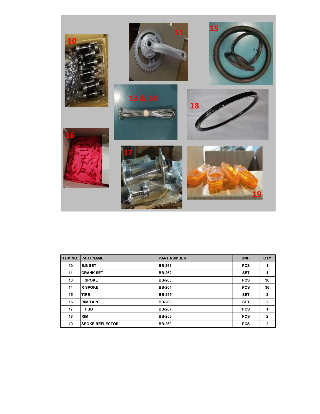

| <b>ITEM NO.</b> | <b>PART NAME</b>       | <b>IPART NUMBER</b> | <b>UNIT</b> | QTY          |
|-----------------|------------------------|---------------------|-------------|--------------|
| 10              | <b>B.B SET</b>         | <b>BB-261</b>       | <b>PCS</b>  | 1            |
| 11              | <b>CRANK SET</b>       | <b>BB-262</b>       | <b>SET</b>  | 1            |
| 13              | <b>IF SPOKE</b>        | <b>BB-263</b>       | <b>PCS</b>  | 36           |
| 14              | <b>R SPOKE</b>         | <b>BB-264</b>       | <b>PCS</b>  | 36           |
| 15              | <b>TIRE</b>            | <b>BB-265</b>       | <b>SET</b>  | $\mathbf{2}$ |
| 16              | <b>RIM TAPE</b>        | <b>BB-266</b>       | <b>SET</b>  | $\mathbf{2}$ |
| 17              | IF HUB                 | <b>BB-267</b>       | <b>PCS</b>  | 1            |
| 18              | <b>RIM</b>             | <b>BB-268</b>       | <b>PCS</b>  | $\mathbf{2}$ |
| 19              | <b>SPOKE REFLECTOR</b> | <b>BB-269</b>       | <b>PCS</b>  | $\mathbf{2}$ |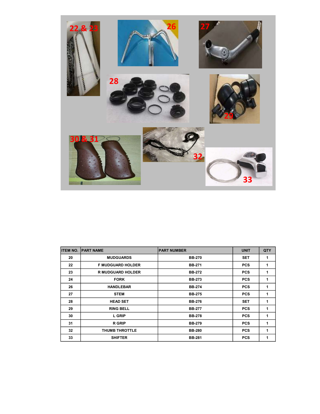

| <b>ITEM NO.</b> | <b>PART NAME</b>         | <b>PART NUMBER</b> | <b>UNIT</b> | QTY |
|-----------------|--------------------------|--------------------|-------------|-----|
| 20              | <b>MUDGUARDS</b>         | <b>BB-270</b>      | <b>SET</b>  | 1   |
| 22              | <b>F MUDGUARD HOLDER</b> | <b>BB-271</b>      | <b>PCS</b>  | 1   |
| 23              | <b>R MUDGUARD HOLDER</b> | <b>BB-272</b>      | <b>PCS</b>  | 1   |
| 24              | <b>FORK</b>              | <b>BB-273</b>      | <b>PCS</b>  | 1   |
| 26              | <b>HANDLEBAR</b>         | <b>BB-274</b>      | <b>PCS</b>  | 1   |
| 27              | <b>STEM</b>              | <b>BB-275</b>      | <b>PCS</b>  | 1   |
| 28              | <b>HEAD SET</b>          | <b>BB-276</b>      | <b>SET</b>  | 1   |
| 29              | <b>RING BELL</b>         | <b>BB-277</b>      | <b>PCS</b>  | 1   |
| 30              | <b>L GRIP</b>            | <b>BB-278</b>      | <b>PCS</b>  | 1   |
| 31              | <b>R</b> GRIP            | <b>BB-279</b>      | <b>PCS</b>  | 1   |
| 32              | <b>THUMB THROTTLE</b>    | <b>BB-280</b>      | <b>PCS</b>  | 1   |
| 33              | <b>SHIFTER</b>           | <b>BB-281</b>      | <b>PCS</b>  | 1   |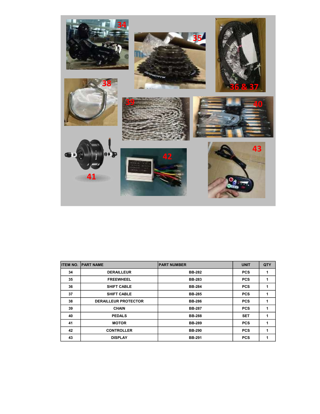

| <b>ITEM NO.</b> | <b>PART NAME</b>            | <b>PART NUMBER</b> | <b>UNIT</b> | QTY |
|-----------------|-----------------------------|--------------------|-------------|-----|
| 34              | <b>DERAILLEUR</b>           | <b>BB-282</b>      | <b>PCS</b>  | 1   |
| 35              | <b>FREEWHEEL</b>            | <b>BB-283</b>      | <b>PCS</b>  | 1   |
| 36              | <b>SHIFT CABLE</b>          | <b>BB-284</b>      | <b>PCS</b>  | 1   |
| 37              | <b>SHIFT CABLE</b>          | <b>BB-285</b>      | <b>PCS</b>  | 1   |
| 38              | <b>DERAILLEUR PROTECTOR</b> | <b>BB-286</b>      | <b>PCS</b>  | 1   |
| 39              | <b>CHAIN</b>                | <b>BB-287</b>      | <b>PCS</b>  | 1   |
| 40              | <b>PEDALS</b>               | <b>BB-288</b>      | <b>SET</b>  | 1   |
| 41              | <b>MOTOR</b>                | <b>BB-289</b>      | <b>PCS</b>  | 1   |
| 42              | <b>CONTROLLER</b>           | <b>BB-290</b>      | <b>PCS</b>  | 1   |
| 43              | <b>DISPLAY</b>              | <b>BB-291</b>      | <b>PCS</b>  | 1   |